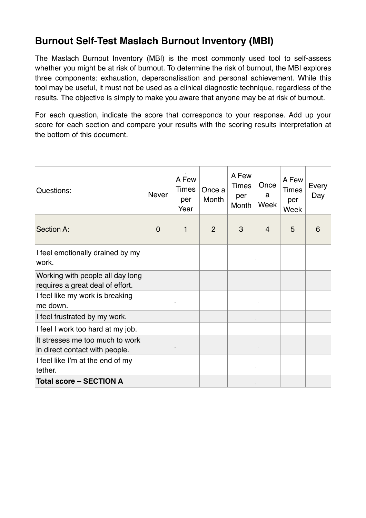# **Burnout Self-Test Maslach Burnout Inventory (MBI)**

The Maslach Burnout Inventory (MBI) is the most commonly used tool to self-assess whether you might be at risk of burnout. To determine the risk of burnout, the MBI explores three components: exhaustion, depersonalisation and personal achievement. While this tool may be useful, it must not be used as a clinical diagnostic technique, regardless of the results. The objective is simply to make you aware that anyone may be at risk of burnout.

For each question, indicate the score that corresponds to your response. Add up your score for each section and compare your results with the scoring results interpretation at the bottom of this document.

| Questions:                                                           | <b>Never</b>   | A Few<br><b>Times</b><br>per<br>Year | Once a<br>Month | A Few<br><b>Times</b><br>per<br>Month | Once<br>a<br>Week | A Few<br><b>Times</b><br>per<br>Week | Every<br>Day |
|----------------------------------------------------------------------|----------------|--------------------------------------|-----------------|---------------------------------------|-------------------|--------------------------------------|--------------|
| Section A:                                                           | $\overline{0}$ | 1                                    | $\overline{2}$  | 3                                     | $\overline{4}$    | 5                                    | 6            |
| I feel emotionally drained by my<br>work.                            |                |                                      |                 |                                       |                   |                                      |              |
| Working with people all day long<br>requires a great deal of effort. |                |                                      |                 |                                       |                   |                                      |              |
| I feel like my work is breaking<br>me down.                          |                |                                      |                 |                                       |                   |                                      |              |
| I feel frustrated by my work.                                        |                |                                      |                 |                                       |                   |                                      |              |
| I feel I work too hard at my job.                                    |                |                                      |                 |                                       |                   |                                      |              |
| It stresses me too much to work<br>in direct contact with people.    |                |                                      |                 |                                       |                   |                                      |              |
| I feel like I'm at the end of my<br>tether.                          |                |                                      |                 |                                       |                   |                                      |              |
| <b>Total score - SECTION A</b>                                       |                |                                      |                 |                                       |                   |                                      |              |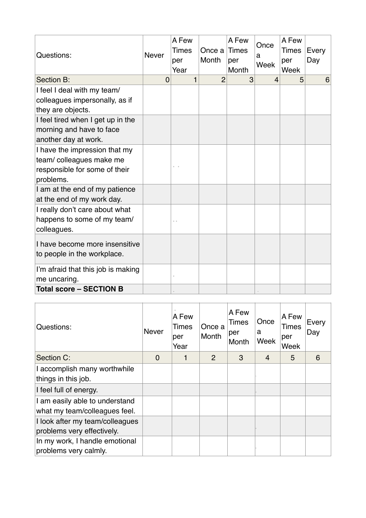| Questions:                                                                                             | <b>Never</b>   | A Few<br>Times<br>per<br>Year | Once a<br>Month | A Few<br>Times<br>per<br>Month | Once<br>a<br>Week | A Few<br><b>Times</b><br>per<br>Week | Every<br>Day |
|--------------------------------------------------------------------------------------------------------|----------------|-------------------------------|-----------------|--------------------------------|-------------------|--------------------------------------|--------------|
| Section B:                                                                                             | $\overline{0}$ | 1                             | $\overline{2}$  | 3                              | $\overline{4}$    | 5                                    | 6            |
| I feel I deal with my team/<br>colleagues impersonally, as if<br>they are objects.                     |                |                               |                 |                                |                   |                                      |              |
| I feel tired when I get up in the<br>morning and have to face<br>another day at work.                  |                |                               |                 |                                |                   |                                      |              |
| I have the impression that my<br>team/colleagues make me<br>responsible for some of their<br>problems. |                | $\mathcal{L}$<br><b>A</b>     |                 |                                |                   |                                      |              |
| I am at the end of my patience<br>at the end of my work day.                                           |                |                               |                 |                                |                   |                                      |              |
| I really don't care about what<br>happens to some of my team/<br>colleagues.                           |                | $\sim$                        |                 |                                |                   |                                      |              |
| I have become more insensitive<br>to people in the workplace.                                          |                |                               |                 |                                |                   |                                      |              |
| I'm afraid that this job is making<br>me uncaring.                                                     |                |                               |                 |                                |                   |                                      |              |
| <b>Total score - SECTION B</b>                                                                         |                |                               |                 |                                |                   |                                      |              |

| Questions:                                                      | <b>Never</b> | A Few<br>Times<br>per<br>Year | Once a<br>Month | A Few<br><b>Times</b><br>per<br>Month | Once<br>a<br>Week | A Few<br><b>Times</b><br>per<br>Week | Every<br>Day |
|-----------------------------------------------------------------|--------------|-------------------------------|-----------------|---------------------------------------|-------------------|--------------------------------------|--------------|
| Section C:                                                      | $\Omega$     |                               | 2               | 3                                     | $\overline{4}$    | 5                                    | 6            |
| I accomplish many worthwhile<br>things in this job.             |              |                               |                 |                                       |                   |                                      |              |
| I feel full of energy.                                          |              |                               |                 |                                       |                   |                                      |              |
| I am easily able to understand<br>what my team/colleagues feel. |              |                               |                 |                                       |                   |                                      |              |
| I look after my team/colleagues<br>problems very effectively.   |              |                               |                 |                                       |                   |                                      |              |
| In my work, I handle emotional<br>problems very calmly.         |              |                               |                 |                                       |                   |                                      |              |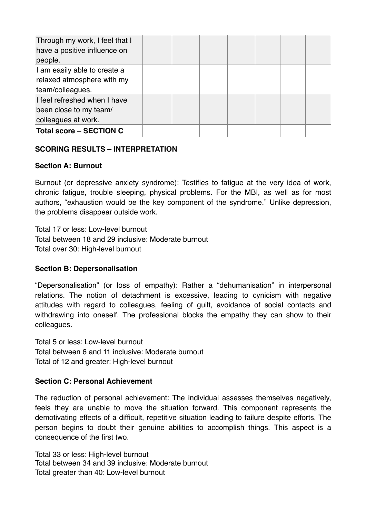| Through my work, I feel that I<br>have a positive influence on<br>people.      |  |  |  |  |
|--------------------------------------------------------------------------------|--|--|--|--|
| I am easily able to create a<br>relaxed atmosphere with my<br>team/colleagues. |  |  |  |  |
| I feel refreshed when I have<br>been close to my team/<br>colleagues at work.  |  |  |  |  |
| <b>Total score - SECTION C</b>                                                 |  |  |  |  |

## **SCORING RESULTS – INTERPRETATION**

#### **Section A: Burnout**

Burnout (or depressive anxiety syndrome): Testifies to fatigue at the very idea of work, chronic fatigue, trouble sleeping, physical problems. For the MBI, as well as for most authors, "exhaustion would be the key component of the syndrome." Unlike depression, the problems disappear outside work.

Total 17 or less: Low-level burnout Total between 18 and 29 inclusive: Moderate burnout Total over 30: High-level burnout

## **Section B: Depersonalisation**

"Depersonalisation" (or loss of empathy): Rather a "dehumanisation" in interpersonal relations. The notion of detachment is excessive, leading to cynicism with negative attitudes with regard to colleagues, feeling of guilt, avoidance of social contacts and withdrawing into oneself. The professional blocks the empathy they can show to their colleagues.

Total 5 or less: Low-level burnout Total between 6 and 11 inclusive: Moderate burnout Total of 12 and greater: High-level burnout

## **Section C: Personal Achievement**

The reduction of personal achievement: The individual assesses themselves negatively, feels they are unable to move the situation forward. This component represents the demotivating effects of a difficult, repetitive situation leading to failure despite efforts. The person begins to doubt their genuine abilities to accomplish things. This aspect is a consequence of the first two.

Total 33 or less: High-level burnout Total between 34 and 39 inclusive: Moderate burnout Total greater than 40: Low-level burnout